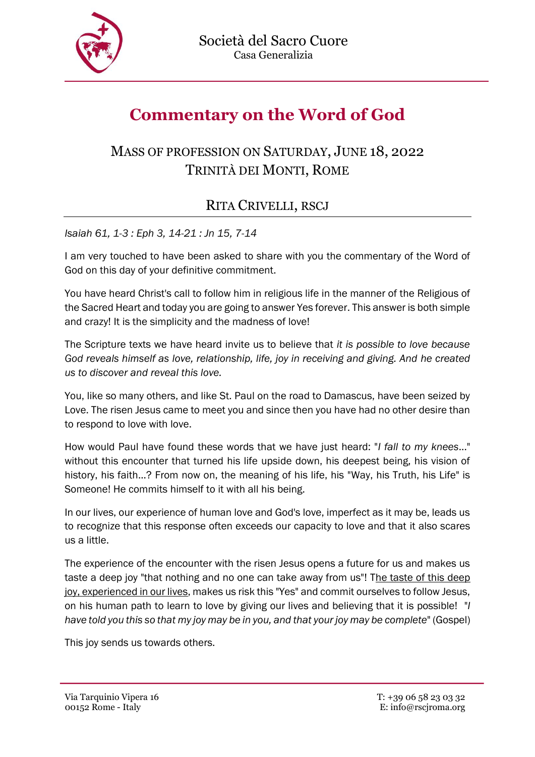

## **Commentary on the Word of God**

## MASS OF PROFESSION ON SATURDAY, JUNE 18, 2022 TRINITÀ DEI MONTI, ROME

## RITA CRIVELLI, RSCJ

*Isaiah 61, 1-3 : Eph 3, 14-21 : Jn 15, 7-14*

I am very touched to have been asked to share with you the commentary of the Word of God on this day of your definitive commitment.

You have heard Christ's call to follow him in religious life in the manner of the Religious of the Sacred Heart and today you are going to answer Yes forever. This answer is both simple and crazy! It is the simplicity and the madness of love!

The Scripture texts we have heard invite us to believe that *it is possible to love because God reveals himself as love, relationship, life, joy in receiving and giving. And he created us to discover and reveal this love.* 

You, like so many others, and like St. Paul on the road to Damascus, have been seized by Love. The risen Jesus came to meet you and since then you have had no other desire than to respond to love with love.

How would Paul have found these words that we have just heard: "*I fall to my knees*..." without this encounter that turned his life upside down, his deepest being, his vision of history, his faith...? From now on, the meaning of his life, his "Way, his Truth, his Life" is Someone! He commits himself to it with all his being.

In our lives, our experience of human love and God's love, imperfect as it may be, leads us to recognize that this response often exceeds our capacity to love and that it also scares us a little.

The experience of the encounter with the risen Jesus opens a future for us and makes us taste a deep joy "that nothing and no one can take away from us"! The taste of this deep joy, experienced in our lives, makes us risk this "Yes" and commit ourselves to follow Jesus, on his human path to learn to love by giving our lives and believing that it is possible! "*I have told you this so that my joy may be in you, and that your joy may be complete*" (Gospel)

This joy sends us towards others.